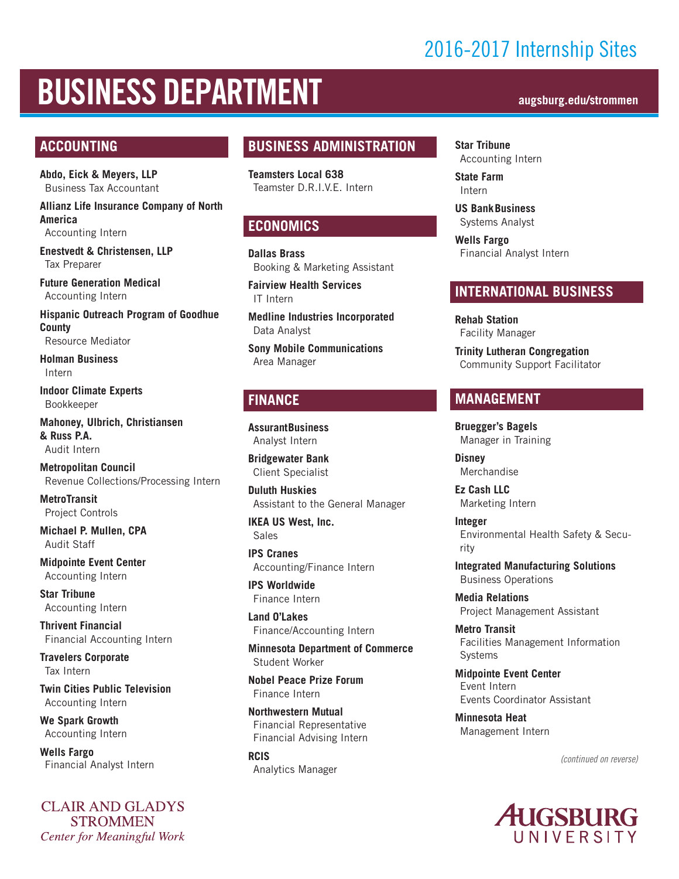## 2016-2017 Internship Sites

# BUSINESS DEPARTMENT **augsburg.edu/strommen**

#### **ACCOUNTING**

**Abdo, Eick & Meyers, LLP** Business Tax Accountant

**Allianz Life Insurance Company of North America**

Accounting Intern

**Enestvedt & Christensen, LLP** Tax Preparer

**Future Generation Medical** Accounting Intern

**Hispanic Outreach Program of Goodhue County** Resource Mediator

**Holman Business**  Intern

**Indoor Climate Experts** Bookkeeper

**Mahoney, Ulbrich, Christiansen & Russ P.A.** Audit Intern

**Metropolitan Council** Revenue Collections/Processing Intern

**MetroTransit** Project Controls

**Michael P. Mullen, CPA** Audit Staff

**Midpointe Event Center** Accounting Intern

**Star Tribune** Accounting Intern

**Thrivent Financial** Financial Accounting Intern

**Travelers Corporate**  Tax Intern

**Twin Cities Public Television** Accounting Intern

**We Spark Growth** Accounting Intern

**Wells Fargo** Financial Analyst Intern

**CLAIR AND GLADYS STROMMEN Center for Meaningful Work** 

#### **BUSINESS ADMINISTRATION**

**Teamsters Local 638** Teamster D.R.I.V.E. Intern

#### **ECONOMICS**

**Dallas Brass** Booking & Marketing Assistant

**Fairview Health Services** IT Intern

**Medline Industries Incorporated** Data Analyst

**Sony Mobile Communications** Area Manager

#### **FINANCE**

**AssurantBusiness**  Analyst Intern

**Bridgewater Bank** Client Specialist

**Duluth Huskies** Assistant to the General Manager

**IKEA US West, Inc.** Sales

**IPS Cranes** Accounting/Finance Intern

**IPS Worldwide** Finance Intern

**Land O'Lakes** Finance/Accounting Intern

**Minnesota Department of Commerce** Student Worker

**Nobel Peace Prize Forum** Finance Intern

**Northwestern Mutual** Financial Representative Financial Advising Intern

**RCIS** Analytics Manager

**Star Tribune** Accounting Intern

**State Farm** Intern

**US BankBusiness**  Systems Analyst

**Wells Fargo** Financial Analyst Intern

#### **INTERNATIONAL BUSINESS**

**Rehab Station** Facility Manager

**Trinity Lutheran Congregation** Community Support Facilitator

#### **MANAGEMENT**

**Bruegger's Bagels** Manager in Training

**Disney** Merchandise

**Ez Cash LLC** Marketing Intern

**Integer** Environmental Health Safety & Security

**Integrated Manufacturing Solutions** Business Operations

**Media Relations** Project Management Assistant

**Metro Transit** Facilities Management Information **Systems** 

**Midpointe Event Center** Event Intern Events Coordinator Assistant

**Minnesota Heat** Management Intern

*(continued on reverse)*